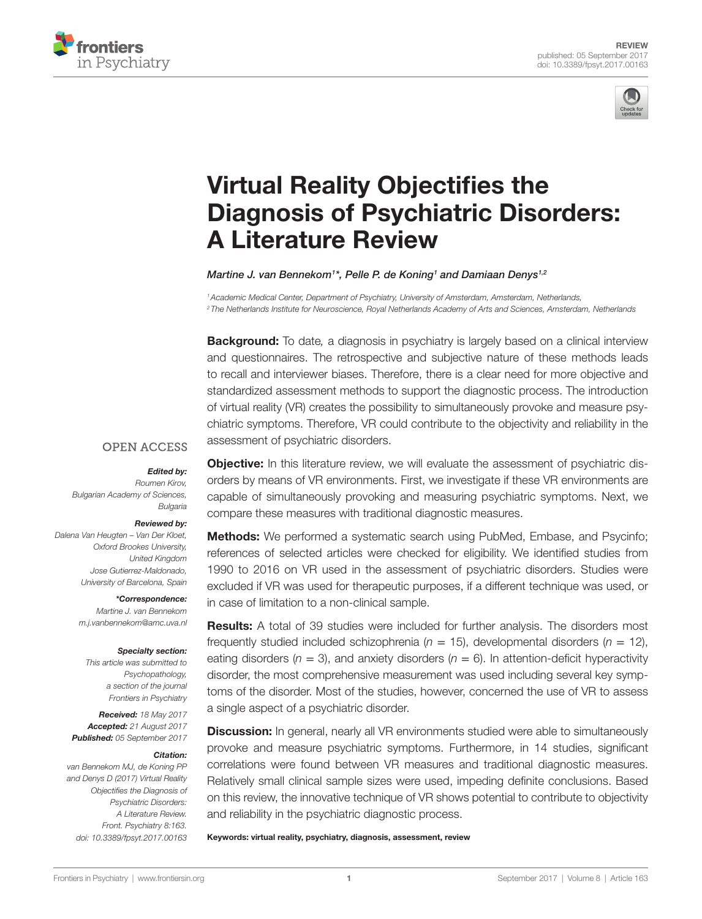



# **Virtual Reality Objectifies the Diagnosis of Psychiatric Disorders: A Literature Review**

*[Martine J. van Bennekom1](http://loop.frontiersin.org/people/425329) \*, [Pelle P. de Koning](http://loop.frontiersin.org/people/437393)1 and [Damiaan Denys1](http://loop.frontiersin.org/people/45392),2*

*1Academic Medical Center, Department of Psychiatry, University of Amsterdam, Amsterdam, Netherlands, <sup>2</sup> The Netherlands Institute for Neuroscience, Royal Netherlands Academy of Arts and Sciences, Amsterdam, Netherlands*

**Background:** To date, a diagnosis in psychiatry is largely based on a clinical interview and questionnaires. The retrospective and subjective nature of these methods leads to recall and interviewer biases. Therefore, there is a clear need for more objective and standardized assessment methods to support the diagnostic process. The introduction of virtual reality (VR) creates the possibility to simultaneously provoke and measure psychiatric symptoms. Therefore, VR could contribute to the objectivity and reliability in the assessment of psychiatric disorders.

## **OPEN ACCESS**

#### *Edited by:*

*Roumen Kirov, Bulgarian Academy of Sciences, Bulgaria*

#### *Reviewed by:*

*Dalena Van Heugten – Van Der Kloet, Oxford Brookes University, United Kingdom Jose Gutierrez-Maldonado, University of Barcelona, Spain*

#### *\*Correspondence:*

*Martine J. van Bennekom [m.j.vanbennekom@amc.uva.nl](mailto:m.j.vanbennekom@amc.uva.nl)*

#### *Specialty section:*

*This article was submitted to Psychopathology, a section of the journal Frontiers in Psychiatry*

*Received: 18 May 2017 Accepted: 21 August 2017 Published: 05 September 2017*

#### *Citation:*

*van Bennekom MJ, de Koning PP and Denys D (2017) Virtual Reality Objectifies the Diagnosis of Psychiatric Disorders: A Literature Review. Front. Psychiatry 8:163. doi: [10.3389/fpsyt.2017.00163](https://doi.org/10.3389/fpsyt.2017.00163)* **Objective:** In this literature review, we will evaluate the assessment of psychiatric disorders by means of VR environments. First, we investigate if these VR environments are capable of simultaneously provoking and measuring psychiatric symptoms. Next, we compare these measures with traditional diagnostic measures.

Methods: We performed a systematic search using PubMed, Embase, and Psycinfo; references of selected articles were checked for eligibility. We identified studies from 1990 to 2016 on VR used in the assessment of psychiatric disorders. Studies were excluded if VR was used for therapeutic purposes, if a different technique was used, or in case of limitation to a non-clinical sample.

Results: A total of 39 studies were included for further analysis. The disorders most frequently studied included schizophrenia ( $n = 15$ ), developmental disorders ( $n = 12$ ), eating disorders ( $n = 3$ ), and anxiety disorders ( $n = 6$ ). In attention-deficit hyperactivity disorder, the most comprehensive measurement was used including several key symptoms of the disorder. Most of the studies, however, concerned the use of VR to assess a single aspect of a psychiatric disorder.

**Discussion:** In general, nearly all VR environments studied were able to simultaneously provoke and measure psychiatric symptoms. Furthermore, in 14 studies, significant correlations were found between VR measures and traditional diagnostic measures. Relatively small clinical sample sizes were used, impeding definite conclusions. Based on this review, the innovative technique of VR shows potential to contribute to objectivity and reliability in the psychiatric diagnostic process.

Keywords: virtual reality, psychiatry, diagnosis, assessment, review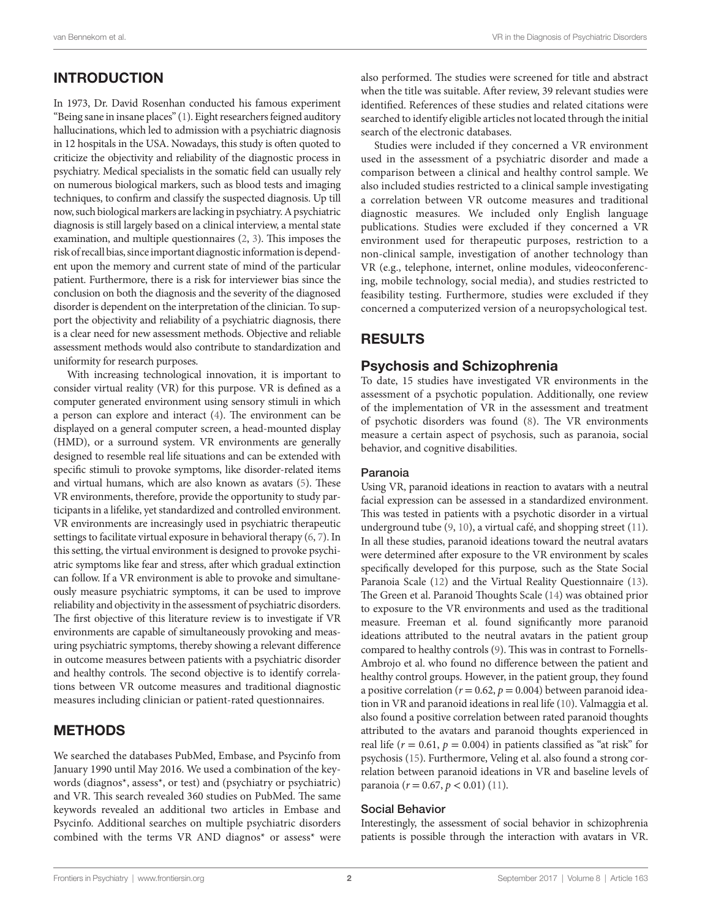# INTRODUCTION

In 1973, Dr. David Rosenhan conducted his famous experiment "Being sane in insane places" [\(1\)](#page-5-0). Eight researchers feigned auditory hallucinations, which led to admission with a psychiatric diagnosis in 12 hospitals in the USA. Nowadays, this study is often quoted to criticize the objectivity and reliability of the diagnostic process in psychiatry. Medical specialists in the somatic field can usually rely on numerous biological markers, such as blood tests and imaging techniques, to confirm and classify the suspected diagnosis. Up till now, such biological markers are lacking in psychiatry. A psychiatric diagnosis is still largely based on a clinical interview, a mental state examination, and multiple questionnaires [\(2](#page-5-1), [3](#page-5-2)). This imposes the risk of recall bias, since important diagnostic information is dependent upon the memory and current state of mind of the particular patient. Furthermore, there is a risk for interviewer bias since the conclusion on both the diagnosis and the severity of the diagnosed disorder is dependent on the interpretation of the clinician. To support the objectivity and reliability of a psychiatric diagnosis, there is a clear need for new assessment methods. Objective and reliable assessment methods would also contribute to standardization and uniformity for research purposes.

With increasing technological innovation, it is important to consider virtual reality (VR) for this purpose. VR is defined as a computer generated environment using sensory stimuli in which a person can explore and interact ([4](#page-5-3)). The environment can be displayed on a general computer screen, a head-mounted display (HMD), or a surround system. VR environments are generally designed to resemble real life situations and can be extended with specific stimuli to provoke symptoms, like disorder-related items and virtual humans, which are also known as avatars ([5](#page-5-4)). These VR environments, therefore, provide the opportunity to study participants in a lifelike, yet standardized and controlled environment. VR environments are increasingly used in psychiatric therapeutic settings to facilitate virtual exposure in behavioral therapy [\(6,](#page-5-5) [7\)](#page-5-6). In this setting, the virtual environment is designed to provoke psychiatric symptoms like fear and stress, after which gradual extinction can follow. If a VR environment is able to provoke and simultaneously measure psychiatric symptoms, it can be used to improve reliability and objectivity in the assessment of psychiatric disorders. The first objective of this literature review is to investigate if VR environments are capable of simultaneously provoking and measuring psychiatric symptoms, thereby showing a relevant difference in outcome measures between patients with a psychiatric disorder and healthy controls. The second objective is to identify correlations between VR outcome measures and traditional diagnostic measures including clinician or patient-rated questionnaires.

## METHODS

We searched the databases PubMed, Embase, and Psycinfo from January 1990 until May 2016. We used a combination of the keywords (diagnos\*, assess\*, or test) and (psychiatry or psychiatric) and VR. This search revealed 360 studies on PubMed. The same keywords revealed an additional two articles in Embase and Psycinfo. Additional searches on multiple psychiatric disorders combined with the terms VR AND diagnos\* or assess\* were also performed. The studies were screened for title and abstract when the title was suitable. After review, 39 relevant studies were identified. References of these studies and related citations were searched to identify eligible articles not located through the initial search of the electronic databases.

Studies were included if they concerned a VR environment used in the assessment of a psychiatric disorder and made a comparison between a clinical and healthy control sample. We also included studies restricted to a clinical sample investigating a correlation between VR outcome measures and traditional diagnostic measures. We included only English language publications. Studies were excluded if they concerned a VR environment used for therapeutic purposes, restriction to a non-clinical sample, investigation of another technology than VR (e.g., telephone, internet, online modules, videoconferencing, mobile technology, social media), and studies restricted to feasibility testing. Furthermore, studies were excluded if they concerned a computerized version of a neuropsychological test.

## RESULTS

## Psychosis and Schizophrenia

To date, 15 studies have investigated VR environments in the assessment of a psychotic population. Additionally, one review of the implementation of VR in the assessment and treatment of psychotic disorders was found [\(8\)](#page-5-7). The VR environments measure a certain aspect of psychosis, such as paranoia, social behavior, and cognitive disabilities.

#### Paranoia

Using VR, paranoid ideations in reaction to avatars with a neutral facial expression can be assessed in a standardized environment. This was tested in patients with a psychotic disorder in a virtual underground tube ([9](#page-5-8), [10\)](#page-5-9), a virtual café, and shopping street ([11\)](#page-5-10). In all these studies, paranoid ideations toward the neutral avatars were determined after exposure to the VR environment by scales specifically developed for this purpose*,* such as the State Social Paranoia Scale [\(12](#page-5-11)) and the Virtual Reality Questionnaire ([13\)](#page-5-12). The Green et al. Paranoid Thoughts Scale [\(14](#page-5-13)) was obtained prior to exposure to the VR environments and used as the traditional measure. Freeman et al. found significantly more paranoid ideations attributed to the neutral avatars in the patient group compared to healthy controls ([9](#page-5-8)). This was in contrast to Fornells-Ambrojo et al. who found no difference between the patient and healthy control groups. However, in the patient group, they found a positive correlation ( $r = 0.62$ ,  $p = 0.004$ ) between paranoid ideation in VR and paranoid ideations in real life [\(10](#page-5-9)). Valmaggia et al. also found a positive correlation between rated paranoid thoughts attributed to the avatars and paranoid thoughts experienced in real life ( $r = 0.61$ ,  $p = 0.004$ ) in patients classified as "at risk" for psychosis ([15\)](#page-5-14). Furthermore, Veling et al. also found a strong correlation between paranoid ideations in VR and baseline levels of paranoia (*r* = 0.67, *p* < 0.01) [\(11](#page-5-10)).

#### Social Behavior

Interestingly, the assessment of social behavior in schizophrenia patients is possible through the interaction with avatars in VR.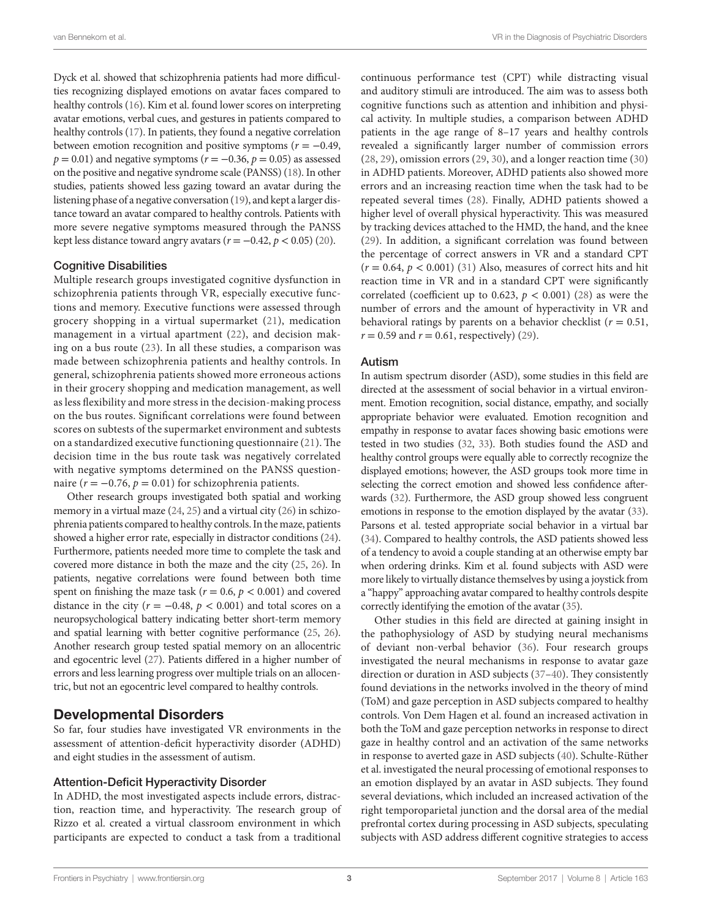Dyck et al. showed that schizophrenia patients had more difficulties recognizing displayed emotions on avatar faces compared to healthy controls [\(16](#page-5-15)). Kim et al. found lower scores on interpreting avatar emotions, verbal cues, and gestures in patients compared to healthy controls [\(17](#page-5-16)). In patients, they found a negative correlation between emotion recognition and positive symptoms (*r* = −0.49, *p* = 0.01) and negative symptoms (*r* = −0.36, *p* = 0.05) as assessed on the positive and negative syndrome scale (PANSS) ([18\)](#page-5-17). In other studies, patients showed less gazing toward an avatar during the listening phase of a negative conversation ([19\)](#page-5-18), and kept a larger distance toward an avatar compared to healthy controls. Patients with more severe negative symptoms measured through the PANSS kept less distance toward angry avatars  $(r = -0.42, p < 0.05)$  ([20](#page-5-19)).

#### Cognitive Disabilities

Multiple research groups investigated cognitive dysfunction in schizophrenia patients through VR, especially executive functions and memory. Executive functions were assessed through grocery shopping in a virtual supermarket [\(21\)](#page-5-20), medication management in a virtual apartment ([22](#page-5-21)), and decision making on a bus route [\(23](#page-5-22)). In all these studies, a comparison was made between schizophrenia patients and healthy controls. In general, schizophrenia patients showed more erroneous actions in their grocery shopping and medication management, as well as less flexibility and more stress in the decision-making process on the bus routes. Significant correlations were found between scores on subtests of the supermarket environment and subtests on a standardized executive functioning questionnaire [\(21\)](#page-5-20). The decision time in the bus route task was negatively correlated with negative symptoms determined on the PANSS questionnaire ( $r = -0.76$ ,  $p = 0.01$ ) for schizophrenia patients.

Other research groups investigated both spatial and working memory in a virtual maze [\(24](#page-5-23), [25](#page-5-24)) and a virtual city [\(26\)](#page-5-25) in schizophrenia patients compared to healthy controls. In the maze, patients showed a higher error rate, especially in distractor conditions [\(24\)](#page-5-23). Furthermore, patients needed more time to complete the task and covered more distance in both the maze and the city [\(25](#page-5-24), [26\)](#page-5-25). In patients, negative correlations were found between both time spent on finishing the maze task ( $r = 0.6$ ,  $p < 0.001$ ) and covered distance in the city ( $r = -0.48$ ,  $p < 0.001$ ) and total scores on a neuropsychological battery indicating better short-term memory and spatial learning with better cognitive performance [\(25](#page-5-24), [26\)](#page-5-25). Another research group tested spatial memory on an allocentric and egocentric level ([27\)](#page-5-26). Patients differed in a higher number of errors and less learning progress over multiple trials on an allocentric, but not an egocentric level compared to healthy controls.

### Developmental Disorders

So far, four studies have investigated VR environments in the assessment of attention-deficit hyperactivity disorder (ADHD) and eight studies in the assessment of autism.

#### Attention-Deficit Hyperactivity Disorder

In ADHD, the most investigated aspects include errors, distraction, reaction time, and hyperactivity. The research group of Rizzo et al. created a virtual classroom environment in which participants are expected to conduct a task from a traditional

continuous performance test (CPT) while distracting visual and auditory stimuli are introduced. The aim was to assess both cognitive functions such as attention and inhibition and physical activity. In multiple studies, a comparison between ADHD patients in the age range of 8–17 years and healthy controls revealed a significantly larger number of commission errors [\(28,](#page-5-27) [29\)](#page-5-28), omission errors ([29,](#page-5-28) [30\)](#page-5-29), and a longer reaction time ([30\)](#page-5-29) in ADHD patients. Moreover, ADHD patients also showed more errors and an increasing reaction time when the task had to be repeated several times ([28\)](#page-5-27). Finally, ADHD patients showed a higher level of overall physical hyperactivity. This was measured by tracking devices attached to the HMD, the hand, and the knee [\(29\)](#page-5-28). In addition, a significant correlation was found between the percentage of correct answers in VR and a standard CPT  $(r = 0.64, p < 0.001)$  [\(31\)](#page-5-30) Also, measures of correct hits and hit reaction time in VR and in a standard CPT were significantly correlated (coefficient up to 0.623,  $p < 0.001$ ) [\(28\)](#page-5-27) as were the number of errors and the amount of hyperactivity in VR and behavioral ratings by parents on a behavior checklist ( $r = 0.51$ ,  $r = 0.59$  and  $r = 0.61$ , respectively) ([29\)](#page-5-28).

#### Autism

In autism spectrum disorder (ASD), some studies in this field are directed at the assessment of social behavior in a virtual environment. Emotion recognition, social distance, empathy, and socially appropriate behavior were evaluated. Emotion recognition and empathy in response to avatar faces showing basic emotions were tested in two studies ([32,](#page-5-31) [33\)](#page-6-0). Both studies found the ASD and healthy control groups were equally able to correctly recognize the displayed emotions; however, the ASD groups took more time in selecting the correct emotion and showed less confidence afterwards [\(32](#page-5-31)). Furthermore, the ASD group showed less congruent emotions in response to the emotion displayed by the avatar ([33\)](#page-6-0). Parsons et al. tested appropriate social behavior in a virtual bar [\(34](#page-6-1)). Compared to healthy controls, the ASD patients showed less of a tendency to avoid a couple standing at an otherwise empty bar when ordering drinks. Kim et al. found subjects with ASD were more likely to virtually distance themselves by using a joystick from a "happy" approaching avatar compared to healthy controls despite correctly identifying the emotion of the avatar [\(35\)](#page-6-2).

Other studies in this field are directed at gaining insight in the pathophysiology of ASD by studying neural mechanisms of deviant non-verbal behavior ([36\)](#page-6-3). Four research groups investigated the neural mechanisms in response to avatar gaze direction or duration in ASD subjects ([37–](#page-6-4)[40\)](#page-6-5). They consistently found deviations in the networks involved in the theory of mind (ToM) and gaze perception in ASD subjects compared to healthy controls. Von Dem Hagen et al. found an increased activation in both the ToM and gaze perception networks in response to direct gaze in healthy control and an activation of the same networks in response to averted gaze in ASD subjects ([40](#page-6-5)). Schulte-Rüther et al. investigated the neural processing of emotional responses to an emotion displayed by an avatar in ASD subjects. They found several deviations, which included an increased activation of the right temporoparietal junction and the dorsal area of the medial prefrontal cortex during processing in ASD subjects, speculating subjects with ASD address different cognitive strategies to access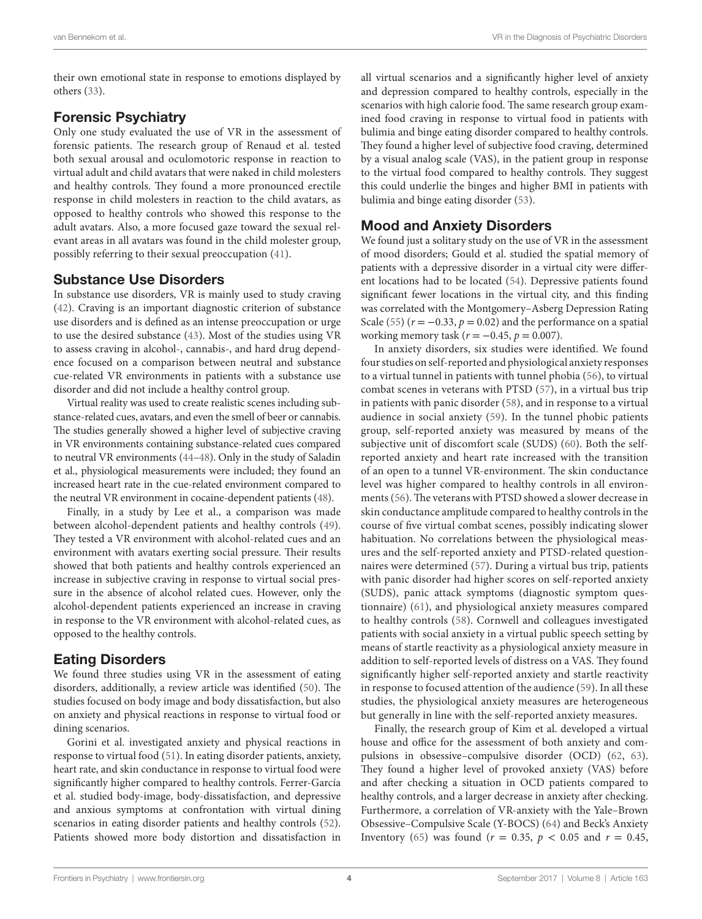their own emotional state in response to emotions displayed by others ([33\)](#page-6-0).

## Forensic Psychiatry

Only one study evaluated the use of VR in the assessment of forensic patients. The research group of Renaud et al. tested both sexual arousal and oculomotoric response in reaction to virtual adult and child avatars that were naked in child molesters and healthy controls. They found a more pronounced erectile response in child molesters in reaction to the child avatars, as opposed to healthy controls who showed this response to the adult avatars. Also, a more focused gaze toward the sexual relevant areas in all avatars was found in the child molester group, possibly referring to their sexual preoccupation ([41\)](#page-6-6).

## Substance Use Disorders

In substance use disorders, VR is mainly used to study craving ([42\)](#page-6-7). Craving is an important diagnostic criterion of substance use disorders and is defined as an intense preoccupation or urge to use the desired substance [\(43\)](#page-6-8). Most of the studies using VR to assess craving in alcohol-, cannabis-, and hard drug dependence focused on a comparison between neutral and substance cue-related VR environments in patients with a substance use disorder and did not include a healthy control group.

Virtual reality was used to create realistic scenes including substance-related cues, avatars, and even the smell of beer or cannabis. The studies generally showed a higher level of subjective craving in VR environments containing substance-related cues compared to neutral VR environments [\(44](#page-6-9)–[48\)](#page-6-10). Only in the study of Saladin et al., physiological measurements were included; they found an increased heart rate in the cue-related environment compared to the neutral VR environment in cocaine-dependent patients [\(48](#page-6-10)).

Finally, in a study by Lee et al., a comparison was made between alcohol-dependent patients and healthy controls ([49\)](#page-6-11). They tested a VR environment with alcohol-related cues and an environment with avatars exerting social pressure. Their results showed that both patients and healthy controls experienced an increase in subjective craving in response to virtual social pressure in the absence of alcohol related cues. However, only the alcohol-dependent patients experienced an increase in craving in response to the VR environment with alcohol-related cues, as opposed to the healthy controls.

## Eating Disorders

We found three studies using VR in the assessment of eating disorders, additionally, a review article was identified [\(50](#page-6-12)). The studies focused on body image and body dissatisfaction, but also on anxiety and physical reactions in response to virtual food or dining scenarios.

Gorini et al. investigated anxiety and physical reactions in response to virtual food [\(51](#page-6-13)). In eating disorder patients, anxiety, heart rate, and skin conductance in response to virtual food were significantly higher compared to healthy controls. Ferrer-García et al. studied body-image, body-dissatisfaction, and depressive and anxious symptoms at confrontation with virtual dining scenarios in eating disorder patients and healthy controls ([52\)](#page-6-14). Patients showed more body distortion and dissatisfaction in

all virtual scenarios and a significantly higher level of anxiety and depression compared to healthy controls, especially in the scenarios with high calorie food. The same research group examined food craving in response to virtual food in patients with bulimia and binge eating disorder compared to healthy controls. They found a higher level of subjective food craving, determined by a visual analog scale (VAS), in the patient group in response to the virtual food compared to healthy controls. They suggest this could underlie the binges and higher BMI in patients with bulimia and binge eating disorder [\(53\)](#page-6-15).

## Mood and Anxiety Disorders

We found just a solitary study on the use of VR in the assessment of mood disorders; Gould et al. studied the spatial memory of patients with a depressive disorder in a virtual city were different locations had to be located [\(54](#page-6-16)). Depressive patients found significant fewer locations in the virtual city, and this finding was correlated with the Montgomery–Asberg Depression Rating Scale ([55\)](#page-6-17)  $(r = -0.33, p = 0.02)$  and the performance on a spatial working memory task (*r* = −0.45, *p* = 0.007).

In anxiety disorders, six studies were identified. We found four studies on self-reported and physiological anxiety responses to a virtual tunnel in patients with tunnel phobia ([56\)](#page-6-18), to virtual combat scenes in veterans with PTSD ([57\)](#page-6-19), in a virtual bus trip in patients with panic disorder ([58](#page-6-20)), and in response to a virtual audience in social anxiety ([59\)](#page-6-21). In the tunnel phobic patients group, self-reported anxiety was measured by means of the subjective unit of discomfort scale (SUDS) [\(60](#page-6-22)). Both the selfreported anxiety and heart rate increased with the transition of an open to a tunnel VR-environment. The skin conductance level was higher compared to healthy controls in all environments ([56\)](#page-6-18). The veterans with PTSD showed a slower decrease in skin conductance amplitude compared to healthy controls in the course of five virtual combat scenes, possibly indicating slower habituation. No correlations between the physiological measures and the self-reported anxiety and PTSD-related questionnaires were determined ([57](#page-6-19)). During a virtual bus trip, patients with panic disorder had higher scores on self-reported anxiety (SUDS), panic attack symptoms (diagnostic symptom questionnaire) [\(61\)](#page-6-23), and physiological anxiety measures compared to healthy controls ([58\)](#page-6-20). Cornwell and colleagues investigated patients with social anxiety in a virtual public speech setting by means of startle reactivity as a physiological anxiety measure in addition to self-reported levels of distress on a VAS. They found significantly higher self-reported anxiety and startle reactivity in response to focused attention of the audience [\(59\)](#page-6-21). In all these studies, the physiological anxiety measures are heterogeneous but generally in line with the self-reported anxiety measures.

Finally, the research group of Kim et al. developed a virtual house and office for the assessment of both anxiety and compulsions in obsessive–compulsive disorder (OCD) ([62,](#page-6-24) [63](#page-6-25)). They found a higher level of provoked anxiety (VAS) before and after checking a situation in OCD patients compared to healthy controls, and a larger decrease in anxiety after checking. Furthermore, a correlation of VR-anxiety with the Yale–Brown Obsessive–Compulsive Scale (Y-BOCS) [\(64](#page-6-26)) and Beck's Anxiety Inventory ([65](#page-6-27)) was found ( $r = 0.35$ ,  $p < 0.05$  and  $r = 0.45$ ,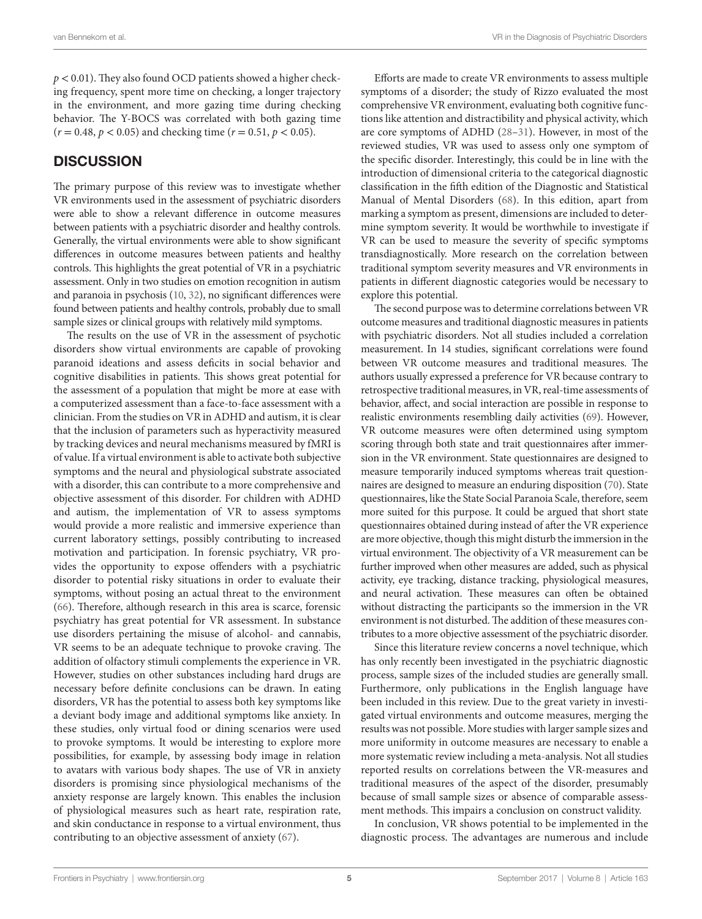*p* < 0.01). They also found OCD patients showed a higher checking frequency, spent more time on checking, a longer trajectory in the environment, and more gazing time during checking behavior. The Y-BOCS was correlated with both gazing time  $(r = 0.48, p < 0.05)$  and checking time  $(r = 0.51, p < 0.05)$ .

## **DISCUSSION**

The primary purpose of this review was to investigate whether VR environments used in the assessment of psychiatric disorders were able to show a relevant difference in outcome measures between patients with a psychiatric disorder and healthy controls. Generally, the virtual environments were able to show significant differences in outcome measures between patients and healthy controls. This highlights the great potential of VR in a psychiatric assessment. Only in two studies on emotion recognition in autism and paranoia in psychosis ([10,](#page-5-9) [32\)](#page-5-31), no significant differences were found between patients and healthy controls, probably due to small sample sizes or clinical groups with relatively mild symptoms.

The results on the use of VR in the assessment of psychotic disorders show virtual environments are capable of provoking paranoid ideations and assess deficits in social behavior and cognitive disabilities in patients. This shows great potential for the assessment of a population that might be more at ease with a computerized assessment than a face-to-face assessment with a clinician. From the studies on VR in ADHD and autism, it is clear that the inclusion of parameters such as hyperactivity measured by tracking devices and neural mechanisms measured by fMRI is of value. If a virtual environment is able to activate both subjective symptoms and the neural and physiological substrate associated with a disorder, this can contribute to a more comprehensive and objective assessment of this disorder. For children with ADHD and autism, the implementation of VR to assess symptoms would provide a more realistic and immersive experience than current laboratory settings, possibly contributing to increased motivation and participation. In forensic psychiatry, VR provides the opportunity to expose offenders with a psychiatric disorder to potential risky situations in order to evaluate their symptoms, without posing an actual threat to the environment ([66\)](#page-6-28). Therefore, although research in this area is scarce, forensic psychiatry has great potential for VR assessment. In substance use disorders pertaining the misuse of alcohol- and cannabis, VR seems to be an adequate technique to provoke craving. The addition of olfactory stimuli complements the experience in VR. However, studies on other substances including hard drugs are necessary before definite conclusions can be drawn. In eating disorders, VR has the potential to assess both key symptoms like a deviant body image and additional symptoms like anxiety. In these studies, only virtual food or dining scenarios were used to provoke symptoms. It would be interesting to explore more possibilities, for example, by assessing body image in relation to avatars with various body shapes. The use of VR in anxiety disorders is promising since physiological mechanisms of the anxiety response are largely known. This enables the inclusion of physiological measures such as heart rate, respiration rate, and skin conductance in response to a virtual environment, thus contributing to an objective assessment of anxiety [\(67](#page-6-29)).

Efforts are made to create VR environments to assess multiple symptoms of a disorder; the study of Rizzo evaluated the most comprehensive VR environment, evaluating both cognitive functions like attention and distractibility and physical activity, which are core symptoms of ADHD [\(28](#page-5-27)[–31\)](#page-5-30). However, in most of the reviewed studies, VR was used to assess only one symptom of the specific disorder. Interestingly, this could be in line with the introduction of dimensional criteria to the categorical diagnostic classification in the fifth edition of the Diagnostic and Statistical Manual of Mental Disorders ([68\)](#page-6-30). In this edition, apart from marking a symptom as present, dimensions are included to determine symptom severity. It would be worthwhile to investigate if VR can be used to measure the severity of specific symptoms transdiagnostically. More research on the correlation between traditional symptom severity measures and VR environments in patients in different diagnostic categories would be necessary to explore this potential.

The second purpose was to determine correlations between VR outcome measures and traditional diagnostic measures in patients with psychiatric disorders. Not all studies included a correlation measurement. In 14 studies, significant correlations were found between VR outcome measures and traditional measures. The authors usually expressed a preference for VR because contrary to retrospective traditional measures, in VR, real-time assessments of behavior, affect, and social interaction are possible in response to realistic environments resembling daily activities [\(69](#page-6-31)). However, VR outcome measures were often determined using symptom scoring through both state and trait questionnaires after immersion in the VR environment. State questionnaires are designed to measure temporarily induced symptoms whereas trait questionnaires are designed to measure an enduring disposition ([70\)](#page-6-32). State questionnaires, like the State Social Paranoia Scale, therefore, seem more suited for this purpose. It could be argued that short state questionnaires obtained during instead of after the VR experience are more objective, though this might disturb the immersion in the virtual environment. The objectivity of a VR measurement can be further improved when other measures are added, such as physical activity, eye tracking, distance tracking, physiological measures, and neural activation. These measures can often be obtained without distracting the participants so the immersion in the VR environment is not disturbed. The addition of these measures contributes to a more objective assessment of the psychiatric disorder.

Since this literature review concerns a novel technique, which has only recently been investigated in the psychiatric diagnostic process, sample sizes of the included studies are generally small. Furthermore, only publications in the English language have been included in this review. Due to the great variety in investigated virtual environments and outcome measures, merging the results was not possible. More studies with larger sample sizes and more uniformity in outcome measures are necessary to enable a more systematic review including a meta-analysis. Not all studies reported results on correlations between the VR-measures and traditional measures of the aspect of the disorder, presumably because of small sample sizes or absence of comparable assessment methods. This impairs a conclusion on construct validity.

In conclusion, VR shows potential to be implemented in the diagnostic process. The advantages are numerous and include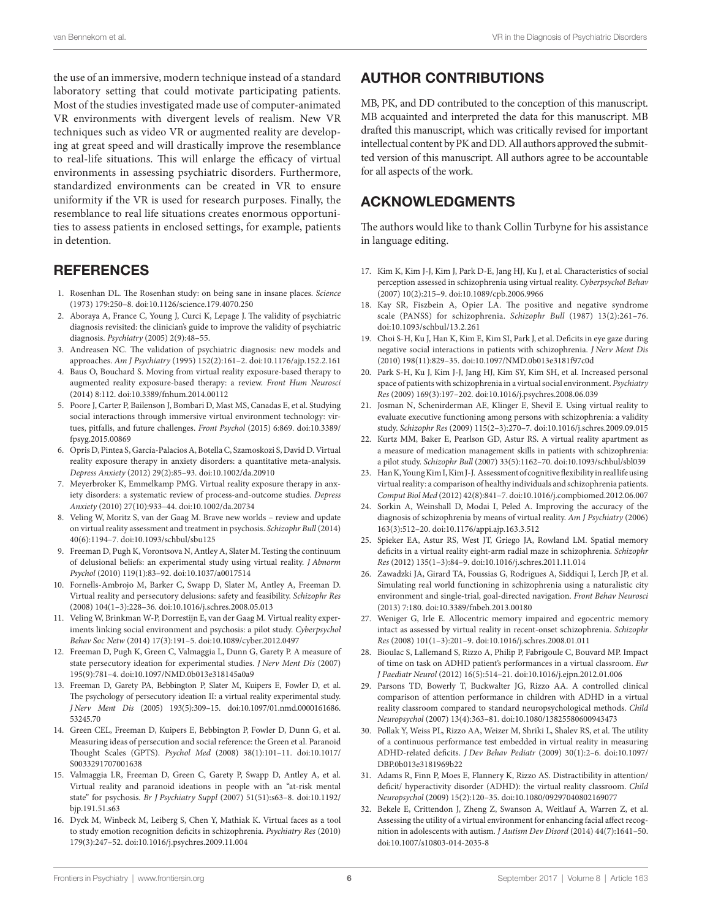the use of an immersive, modern technique instead of a standard laboratory setting that could motivate participating patients. Most of the studies investigated made use of computer-animated VR environments with divergent levels of realism. New VR techniques such as video VR or augmented reality are developing at great speed and will drastically improve the resemblance to real-life situations. This will enlarge the efficacy of virtual environments in assessing psychiatric disorders. Furthermore, standardized environments can be created in VR to ensure uniformity if the VR is used for research purposes. Finally, the resemblance to real life situations creates enormous opportunities to assess patients in enclosed settings, for example, patients in detention.

## **REFERENCES**

- <span id="page-5-0"></span>1. Rosenhan DL. The Rosenhan study: on being sane in insane places. *Science* (1973) 179:250–8. doi[:10.1126/science.179.4070.250](https://doi.org/10.1126/science.179.4070.250)
- <span id="page-5-1"></span>2. Aboraya A, France C, Young J, Curci K, Lepage J. The validity of psychiatric diagnosis revisited: the clinician's guide to improve the validity of psychiatric diagnosis. *Psychiatry* (2005) 2(9):48–55.
- <span id="page-5-2"></span>3. Andreasen NC. The validation of psychiatric diagnosis: new models and approaches. *Am J Psychiatry* (1995) 152(2):161–2. doi[:10.1176/ajp.152.2.161](https://doi.org/10.1176/ajp.152.2.161)
- <span id="page-5-3"></span>4. Baus O, Bouchard S. Moving from virtual reality exposure-based therapy to augmented reality exposure-based therapy: a review. *Front Hum Neurosci* (2014) 8:112. doi:[10.3389/fnhum.2014.00112](https://doi.org/10.3389/fnhum.2014.00112)
- <span id="page-5-4"></span>5. Poore J, Carter P, Bailenson J, Bombari D, Mast MS, Canadas E, et al. Studying social interactions through immersive virtual environment technology: virtues, pitfalls, and future challenges. *Front Psychol* (2015) 6:869. doi[:10.3389/](https://doi.org/10.3389/fpsyg.2015.00869) [fpsyg.2015.00869](https://doi.org/10.3389/fpsyg.2015.00869)
- <span id="page-5-5"></span>6. Opris D, Pintea S, García-Palacios A, Botella C, Szamoskozi S, David D. Virtual reality exposure therapy in anxiety disorders: a quantitative meta-analysis. *Depress Anxiety* (2012) 29(2):85–93. doi[:10.1002/da.20910](https://doi.org/10.1002/da.20910)
- <span id="page-5-6"></span>7. Meyerbroker K, Emmelkamp PMG. Virtual reality exposure therapy in anxiety disorders: a systematic review of process-and-outcome studies. *Depress Anxiety* (2010) 27(10):933–44. doi[:10.1002/da.20734](https://doi.org/10.1002/da.20734)
- <span id="page-5-7"></span>8. Veling W, Moritz S, van der Gaag M. Brave new worlds – review and update on virtual reality assessment and treatment in psychosis. *Schizophr Bull* (2014) 40(6):1194–7. doi:[10.1093/schbul/sbu125](https://doi.org/10.1093/schbul/sbu125)
- <span id="page-5-8"></span>9. Freeman D, Pugh K, Vorontsova N, Antley A, Slater M. Testing the continuum of delusional beliefs: an experimental study using virtual reality. *J Abnorm Psychol* (2010) 119(1):83–92. doi[:10.1037/a0017514](https://doi.org/10.1037/a0017514)
- <span id="page-5-9"></span>10. Fornells-Ambrojo M, Barker C, Swapp D, Slater M, Antley A, Freeman D. Virtual reality and persecutory delusions: safety and feasibility. *Schizophr Res* (2008) 104(1–3):228–36. doi[:10.1016/j.schres.2008.05.013](https://doi.org/10.1016/j.schres.2008.05.013)
- <span id="page-5-10"></span>11. Veling W, Brinkman W-P, Dorrestijn E, van der Gaag M. Virtual reality experiments linking social environment and psychosis: a pilot study. *Cyberpsychol Behav Soc Netw* (2014) 17(3):191–5. doi:[10.1089/cyber.2012.0497](https://doi.org/10.1089/cyber.2012.0497)
- <span id="page-5-11"></span>12. Freeman D, Pugh K, Green C, Valmaggia L, Dunn G, Garety P. A measure of state persecutory ideation for experimental studies. *J Nerv Ment Dis* (2007) 195(9):781–4. doi:[10.1097/NMD.0b013e318145a0a9](https://doi.org/10.1097/NMD.0b013e318145a0a9)
- <span id="page-5-12"></span>13. Freeman D, Garety PA, Bebbington P, Slater M, Kuipers E, Fowler D, et al. The psychology of persecutory ideation II: a virtual reality experimental study. *J Nerv Ment Dis* (2005) 193(5):309–15. doi[:10.1097/01.nmd.0000161686.](https://doi.org/10.1097/01.nmd.0000161686.53245.70) [53245.70](https://doi.org/10.1097/01.nmd.0000161686.53245.70)
- <span id="page-5-13"></span>14. Green CEL, Freeman D, Kuipers E, Bebbington P, Fowler D, Dunn G, et al. Measuring ideas of persecution and social reference: the Green et al. Paranoid Thought Scales (GPTS). *Psychol Med* (2008) 38(1):101–11. doi[:10.1017/](https://doi.org/10.1017/S0033291707001638) [S0033291707001638](https://doi.org/10.1017/S0033291707001638)
- <span id="page-5-14"></span>15. Valmaggia LR, Freeman D, Green C, Garety P, Swapp D, Antley A, et al. Virtual reality and paranoid ideations in people with an "at-risk mental state" for psychosis. *Br J Psychiatry Suppl* (2007) 51(51):s63–8. doi[:10.1192/](https://doi.org/10.1192/bjp.191.51.s63) [bjp.191.51.s63](https://doi.org/10.1192/bjp.191.51.s63)
- <span id="page-5-15"></span>16. Dyck M, Winbeck M, Leiberg S, Chen Y, Mathiak K. Virtual faces as a tool to study emotion recognition deficits in schizophrenia. *Psychiatry Res* (2010) 179(3):247–52. doi[:10.1016/j.psychres.2009.11.004](https://doi.org/10.1016/j.psychres.2009.11.004)

# AUTHOR CONTRIBUTIONS

MB, PK, and DD contributed to the conception of this manuscript. MB acquainted and interpreted the data for this manuscript. MB drafted this manuscript, which was critically revised for important intellectual content by PK and DD. All authors approved the submitted version of this manuscript. All authors agree to be accountable for all aspects of the work.

# ACKNOWLEDGMENTS

The authors would like to thank Collin Turbyne for his assistance in language editing.

- <span id="page-5-16"></span>17. Kim K, Kim J-J, Kim J, Park D-E, Jang HJ, Ku J, et al. Characteristics of social perception assessed in schizophrenia using virtual reality. *Cyberpsychol Behav* (2007) 10(2):215–9. doi[:10.1089/cpb.2006.9966](https://doi.org/10.1089/cpb.2006.9966)
- <span id="page-5-17"></span>18. Kay SR, Fiszbein A, Opier LA. The positive and negative syndrome scale (PANSS) for schizophrenia. *Schizophr Bull* (1987) 13(2):261–76. doi:[10.1093/schbul/13.2.261](https://doi.org/10.1093/schbul/13.2.261)
- <span id="page-5-18"></span>19. Choi S-H, Ku J, Han K, Kim E, Kim SI, Park J, et al. Deficits in eye gaze during negative social interactions in patients with schizophrenia. *J Nerv Ment Dis* (2010) 198(11):829–35. doi[:10.1097/NMD.0b013e3181f97c0d](https://doi.org/10.1097/NMD.0b013e3181f97c0d)
- <span id="page-5-19"></span>20. Park S-H, Ku J, Kim J-J, Jang HJ, Kim SY, Kim SH, et al. Increased personal space of patients with schizophrenia in a virtual social environment. *Psychiatry Res* (2009) 169(3):197–202. doi:[10.1016/j.psychres.2008.06.039](https://doi.org/10.1016/j.psychres.2008.06.039)
- <span id="page-5-20"></span>21. Josman N, Schenirderman AE, Klinger E, Shevil E. Using virtual reality to evaluate executive functioning among persons with schizophrenia: a validity study. *Schizophr Res* (2009) 115(2–3):270–7. doi[:10.1016/j.schres.2009.09.015](https://doi.org/10.1016/j.schres.2009.09.015)
- <span id="page-5-21"></span>22. Kurtz MM, Baker E, Pearlson GD, Astur RS. A virtual reality apartment as a measure of medication management skills in patients with schizophrenia: a pilot study. *Schizophr Bull* (2007) 33(5):1162–70. doi[:10.1093/schbul/sbl039](https://doi.org/10.1093/schbul/sbl039)
- <span id="page-5-22"></span>23. Han K, Young Kim I, Kim J-J. Assessment of cognitive flexibility in real life using virtual reality: a comparison of healthy individuals and schizophrenia patients. *Comput Biol Med* (2012) 42(8):841–7. doi:[10.1016/j.compbiomed.2012.06.007](https://doi.org/10.1016/j.compbiomed.2012.06.007)
- <span id="page-5-23"></span>24. Sorkin A, Weinshall D, Modai I, Peled A. Improving the accuracy of the diagnosis of schizophrenia by means of virtual reality. *Am J Psychiatry* (2006) 163(3):512–20. doi[:10.1176/appi.ajp.163.3.512](https://doi.org/10.1176/appi.ajp.163.3.512)
- <span id="page-5-24"></span>25. Spieker EA, Astur RS, West JT, Griego JA, Rowland LM. Spatial memory deficits in a virtual reality eight-arm radial maze in schizophrenia. *Schizophr Res* (2012) 135(1–3):84–9. doi[:10.1016/j.schres.2011.11.014](https://doi.org/10.1016/j.schres.2011.11.014)
- <span id="page-5-25"></span>26. Zawadzki JA, Girard TA, Foussias G, Rodrigues A, Siddiqui I, Lerch JP, et al. Simulating real world functioning in schizophrenia using a naturalistic city environment and single-trial, goal-directed navigation. *Front Behav Neurosci* (2013) 7:180. doi[:10.3389/fnbeh.2013.00180](https://doi.org/10.3389/fnbeh.2013.00180)
- <span id="page-5-26"></span>27. Weniger G, Irle E. Allocentric memory impaired and egocentric memory intact as assessed by virtual reality in recent-onset schizophrenia. *Schizophr Res* (2008) 101(1–3):201–9. doi:[10.1016/j.schres.2008.01.011](https://doi.org/10.1016/j.schres.2008.01.011)
- <span id="page-5-27"></span>28. Bioulac S, Lallemand S, Rizzo A, Philip P, Fabrigoule C, Bouvard MP. Impact of time on task on ADHD patient's performances in a virtual classroom. *Eur J Paediatr Neurol* (2012) 16(5):514–21. doi[:10.1016/j.ejpn.2012.01.006](https://doi.org/10.1016/j.ejpn.2012.01.006)
- <span id="page-5-28"></span>29. Parsons TD, Bowerly T, Buckwalter JG, Rizzo AA. A controlled clinical comparison of attention performance in children with ADHD in a virtual reality classroom compared to standard neuropsychological methods. *Child Neuropsychol* (2007) 13(4):363–81. doi:[10.1080/13825580600943473](https://doi.org/10.1080/13825580600943473)
- <span id="page-5-29"></span>30. Pollak Y, Weiss PL, Rizzo AA, Weizer M, Shriki L, Shalev RS, et al. The utility of a continuous performance test embedded in virtual reality in measuring ADHD-related deficits. *J Dev Behav Pediatr* (2009) 30(1):2–6. doi[:10.1097/](https://doi.org/10.1097/DBP.0b013e3181969b22) DBP0b013e3181969b22
- <span id="page-5-30"></span>31. Adams R, Finn P, Moes E, Flannery K, Rizzo AS. Distractibility in attention/ deficit/ hyperactivity disorder (ADHD): the virtual reality classroom. *Child Neuropsychol* (2009) 15(2):120–35. doi:[10.1080/09297040802169077](https://doi.org/10.1080/09297040802169077)
- <span id="page-5-31"></span>32. Bekele E, Crittendon J, Zheng Z, Swanson A, Weitlauf A, Warren Z, et al. Assessing the utility of a virtual environment for enhancing facial affect recognition in adolescents with autism. *J Autism Dev Disord* (2014) 44(7):1641–50. doi:[10.1007/s10803-014-2035-8](https://doi.org/10.1007/s10803-014-2035-8)